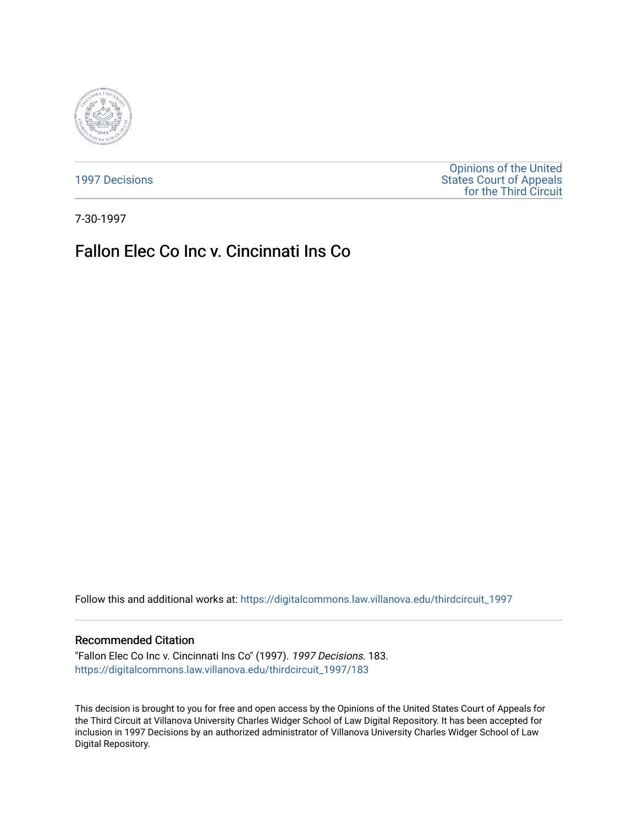

[1997 Decisions](https://digitalcommons.law.villanova.edu/thirdcircuit_1997)

[Opinions of the United](https://digitalcommons.law.villanova.edu/thirdcircuit)  [States Court of Appeals](https://digitalcommons.law.villanova.edu/thirdcircuit)  [for the Third Circuit](https://digitalcommons.law.villanova.edu/thirdcircuit) 

7-30-1997

# Fallon Elec Co Inc v. Cincinnati Ins Co

Follow this and additional works at: [https://digitalcommons.law.villanova.edu/thirdcircuit\\_1997](https://digitalcommons.law.villanova.edu/thirdcircuit_1997?utm_source=digitalcommons.law.villanova.edu%2Fthirdcircuit_1997%2F183&utm_medium=PDF&utm_campaign=PDFCoverPages) 

# Recommended Citation

"Fallon Elec Co Inc v. Cincinnati Ins Co" (1997). 1997 Decisions. 183. [https://digitalcommons.law.villanova.edu/thirdcircuit\\_1997/183](https://digitalcommons.law.villanova.edu/thirdcircuit_1997/183?utm_source=digitalcommons.law.villanova.edu%2Fthirdcircuit_1997%2F183&utm_medium=PDF&utm_campaign=PDFCoverPages)

This decision is brought to you for free and open access by the Opinions of the United States Court of Appeals for the Third Circuit at Villanova University Charles Widger School of Law Digital Repository. It has been accepted for inclusion in 1997 Decisions by an authorized administrator of Villanova University Charles Widger School of Law Digital Repository.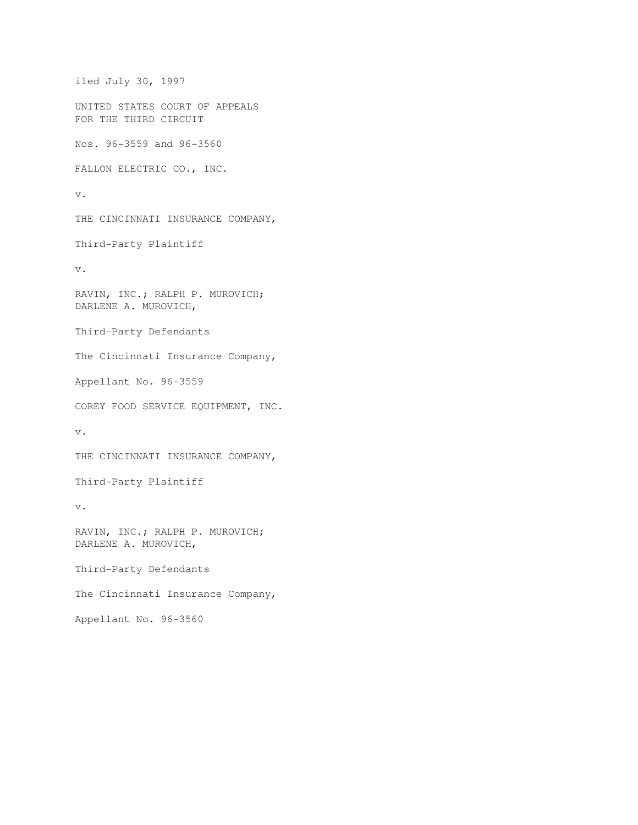```
iled July 30, 1997 
UNITED STATES COURT OF APPEALS 
FOR THE THIRD CIRCUIT 
Nos. 96-3559 and 96-3560 
FALLON ELECTRIC CO., INC. 
v. 
THE CINCINNATI INSURANCE COMPANY, 
Third-Party Plaintiff 
v. 
RAVIN, INC.; RALPH P. MUROVICH; 
DARLENE A. MUROVICH, 
Third-Party Defendants 
The Cincinnati Insurance Company, 
Appellant No. 96-3559 
COREY FOOD SERVICE EQUIPMENT, INC. 
v. 
THE CINCINNATI INSURANCE COMPANY, 
Third-Party Plaintiff 
v. 
RAVIN, INC.; RALPH P. MUROVICH; 
DARLENE A. MUROVICH, 
Third-Party Defendants 
The Cincinnati Insurance Company, 
Appellant No. 96-3560
```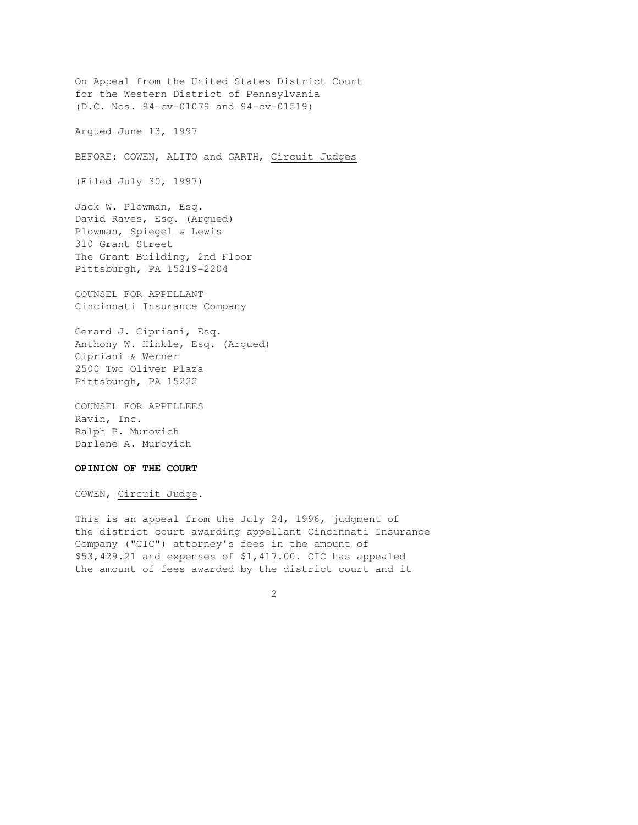On Appeal from the United States District Court for the Western District of Pennsylvania (D.C. Nos. 94-cv-01079 and 94-cv-01519) Argued June 13, 1997 BEFORE: COWEN, ALITO and GARTH, Circuit Judges (Filed July 30, 1997) Jack W. Plowman, Esq. David Raves, Esq. (Argued) Plowman, Spiegel & Lewis 310 Grant Street The Grant Building, 2nd Floor Pittsburgh, PA 15219-2204 COUNSEL FOR APPELLANT Cincinnati Insurance Company Gerard J. Cipriani, Esq. Anthony W. Hinkle, Esq. (Argued) Cipriani & Werner 2500 Two Oliver Plaza Pittsburgh, PA 15222 COUNSEL FOR APPELLEES Ravin, Inc. Ralph P. Murovich Darlene A. Murovich

# **OPINION OF THE COURT**

COWEN, Circuit Judge.

This is an appeal from the July 24, 1996, judgment of the district court awarding appellant Cincinnati Insurance Company ("CIC") attorney's fees in the amount of \$53,429.21 and expenses of \$1,417.00. CIC has appealed the amount of fees awarded by the district court and it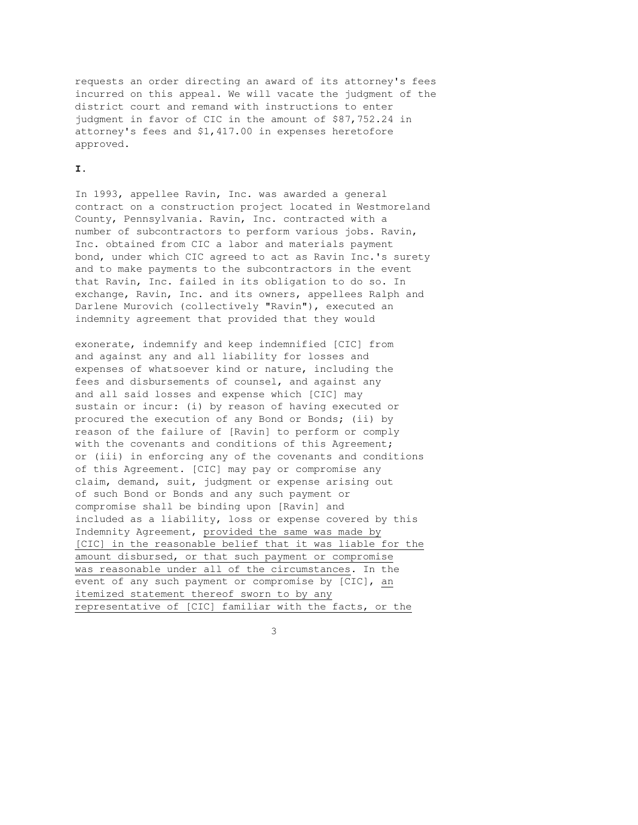requests an order directing an award of its attorney's fees incurred on this appeal. We will vacate the judgment of the district court and remand with instructions to enter judgment in favor of CIC in the amount of \$87,752.24 in attorney's fees and \$1,417.00 in expenses heretofore approved.

# **I.**

In 1993, appellee Ravin, Inc. was awarded a general contract on a construction project located in Westmoreland County, Pennsylvania. Ravin, Inc. contracted with a number of subcontractors to perform various jobs. Ravin, Inc. obtained from CIC a labor and materials payment bond, under which CIC agreed to act as Ravin Inc.'s surety and to make payments to the subcontractors in the event that Ravin, Inc. failed in its obligation to do so. In exchange, Ravin, Inc. and its owners, appellees Ralph and Darlene Murovich (collectively "Ravin"), executed an indemnity agreement that provided that they would

exonerate, indemnify and keep indemnified [CIC] from and against any and all liability for losses and expenses of whatsoever kind or nature, including the fees and disbursements of counsel, and against any and all said losses and expense which [CIC] may sustain or incur: (i) by reason of having executed or procured the execution of any Bond or Bonds; (ii) by reason of the failure of [Ravin] to perform or comply with the covenants and conditions of this Agreement; or (iii) in enforcing any of the covenants and conditions of this Agreement. [CIC] may pay or compromise any claim, demand, suit, judgment or expense arising out of such Bond or Bonds and any such payment or compromise shall be binding upon [Ravin] and included as a liability, loss or expense covered by this Indemnity Agreement, provided the same was made by [CIC] in the reasonable belief that it was liable for the amount disbursed, or that such payment or compromise was reasonable under all of the circumstances. In the event of any such payment or compromise by [CIC], an itemized statement thereof sworn to by any representative of [CIC] familiar with the facts, or the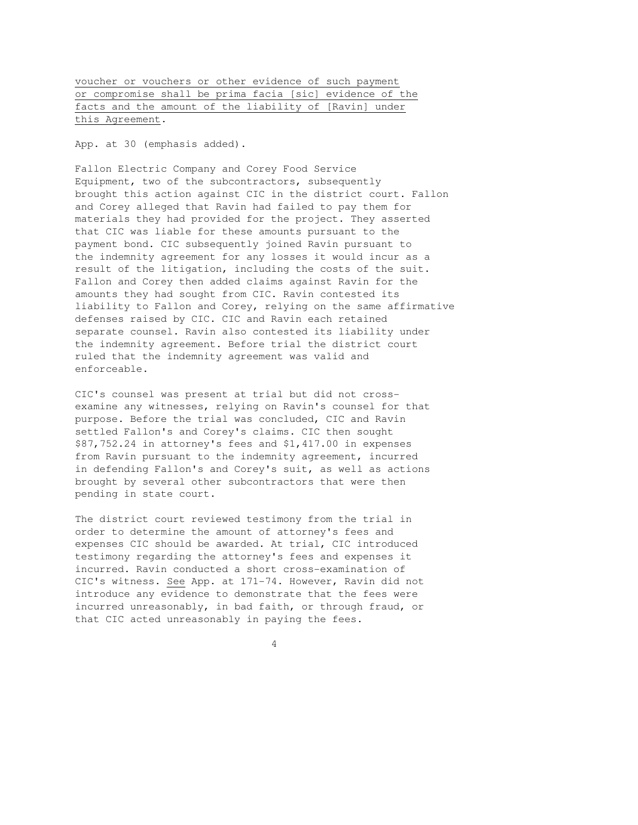voucher or vouchers or other evidence of such payment or compromise shall be prima facia [sic] evidence of the facts and the amount of the liability of [Ravin] under this Agreement.

App. at 30 (emphasis added).

Fallon Electric Company and Corey Food Service Equipment, two of the subcontractors, subsequently brought this action against CIC in the district court. Fallon and Corey alleged that Ravin had failed to pay them for materials they had provided for the project. They asserted that CIC was liable for these amounts pursuant to the payment bond. CIC subsequently joined Ravin pursuant to the indemnity agreement for any losses it would incur as a result of the litigation, including the costs of the suit. Fallon and Corey then added claims against Ravin for the amounts they had sought from CIC. Ravin contested its liability to Fallon and Corey, relying on the same affirmative defenses raised by CIC. CIC and Ravin each retained separate counsel. Ravin also contested its liability under the indemnity agreement. Before trial the district court ruled that the indemnity agreement was valid and enforceable.

CIC's counsel was present at trial but did not crossexamine any witnesses, relying on Ravin's counsel for that purpose. Before the trial was concluded, CIC and Ravin settled Fallon's and Corey's claims. CIC then sought \$87,752.24 in attorney's fees and \$1,417.00 in expenses from Ravin pursuant to the indemnity agreement, incurred in defending Fallon's and Corey's suit, as well as actions brought by several other subcontractors that were then pending in state court.

The district court reviewed testimony from the trial in order to determine the amount of attorney's fees and expenses CIC should be awarded. At trial, CIC introduced testimony regarding the attorney's fees and expenses it incurred. Ravin conducted a short cross-examination of CIC's witness. See App. at 171-74. However, Ravin did not introduce any evidence to demonstrate that the fees were incurred unreasonably, in bad faith, or through fraud, or that CIC acted unreasonably in paying the fees.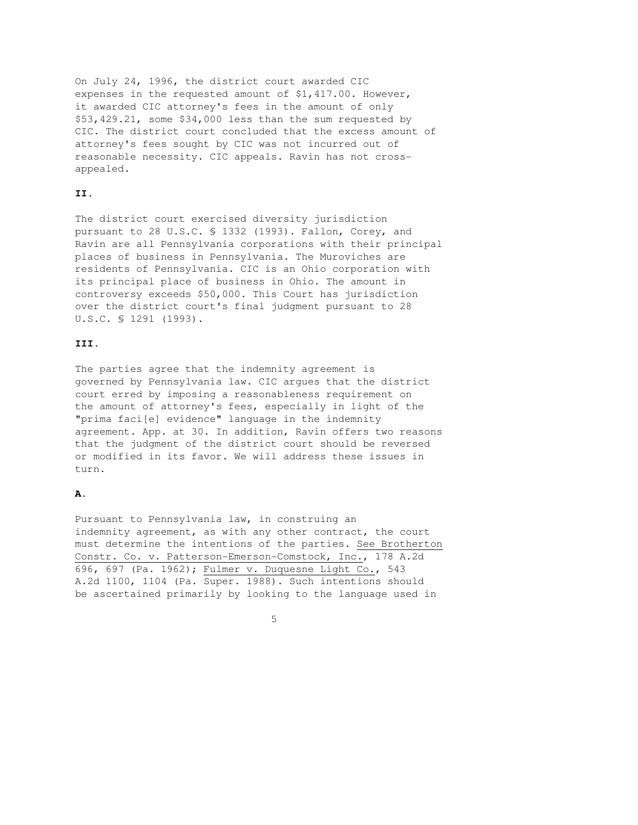On July 24, 1996, the district court awarded CIC expenses in the requested amount of \$1,417.00. However, it awarded CIC attorney's fees in the amount of only \$53,429.21, some \$34,000 less than the sum requested by CIC. The district court concluded that the excess amount of attorney's fees sought by CIC was not incurred out of reasonable necessity. CIC appeals. Ravin has not crossappealed.

# **II.**

The district court exercised diversity jurisdiction pursuant to 28 U.S.C. § 1332 (1993). Fallon, Corey, and Ravin are all Pennsylvania corporations with their principal places of business in Pennsylvania. The Muroviches are residents of Pennsylvania. CIC is an Ohio corporation with its principal place of business in Ohio. The amount in controversy exceeds \$50,000. This Court has jurisdiction over the district court's final judgment pursuant to 28 U.S.C. § 1291 (1993).

#### **III.**

The parties agree that the indemnity agreement is governed by Pennsylvania law. CIC argues that the district court erred by imposing a reasonableness requirement on the amount of attorney's fees, especially in light of the "prima faci[e] evidence" language in the indemnity agreement. App. at 30. In addition, Ravin offers two reasons that the judgment of the district court should be reversed or modified in its favor. We will address these issues in turn.

### **A.**

Pursuant to Pennsylvania law, in construing an indemnity agreement, as with any other contract, the court must determine the intentions of the parties. See Brotherton Constr. Co. v. Patterson-Emerson-Comstock, Inc., 178 A.2d 696, 697 (Pa. 1962); Fulmer v. Duquesne Light Co., 543 A.2d 1100, 1104 (Pa. Super. 1988). Such intentions should be ascertained primarily by looking to the language used in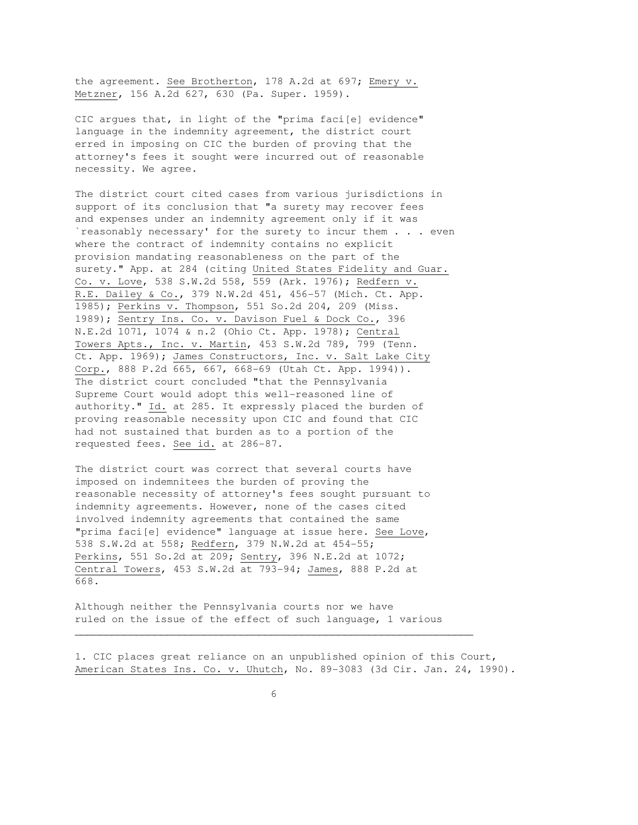the agreement. See Brotherton, 178 A.2d at 697; Emery v. Metzner, 156 A.2d 627, 630 (Pa. Super. 1959).

CIC argues that, in light of the "prima faci[e] evidence" language in the indemnity agreement, the district court erred in imposing on CIC the burden of proving that the attorney's fees it sought were incurred out of reasonable necessity. We agree.

The district court cited cases from various jurisdictions in support of its conclusion that "a surety may recover fees and expenses under an indemnity agreement only if it was `reasonably necessary' for the surety to incur them . . . even where the contract of indemnity contains no explicit provision mandating reasonableness on the part of the surety." App. at 284 (citing United States Fidelity and Guar. Co. v. Love, 538 S.W.2d 558, 559 (Ark. 1976); Redfern v. R.E. Dailey & Co., 379 N.W.2d 451, 456-57 (Mich. Ct. App. 1985); Perkins v. Thompson, 551 So.2d 204, 209 (Miss. 1989); Sentry Ins. Co. v. Davison Fuel & Dock Co., 396 N.E.2d 1071, 1074 & n.2 (Ohio Ct. App. 1978); Central Towers Apts., Inc. v. Martin, 453 S.W.2d 789, 799 (Tenn. Ct. App. 1969); James Constructors, Inc. v. Salt Lake City Corp., 888 P.2d 665, 667, 668-69 (Utah Ct. App. 1994)). The district court concluded "that the Pennsylvania Supreme Court would adopt this well-reasoned line of authority." Id. at 285. It expressly placed the burden of proving reasonable necessity upon CIC and found that CIC had not sustained that burden as to a portion of the requested fees. See id. at 286-87.

The district court was correct that several courts have imposed on indemnitees the burden of proving the reasonable necessity of attorney's fees sought pursuant to indemnity agreements. However, none of the cases cited involved indemnity agreements that contained the same "prima faci[e] evidence" language at issue here. See Love, 538 S.W.2d at 558; Redfern, 379 N.W.2d at 454-55; Perkins, 551 So.2d at 209; Sentry, 396 N.E.2d at 1072; Central Towers, 453 S.W.2d at 793-94; James, 888 P.2d at 668.

Although neither the Pennsylvania courts nor we have ruled on the issue of the effect of such language, 1 various

1. CIC places great reliance on an unpublished opinion of this Court, American States Ins. Co. v. Uhutch, No. 89-3083 (3d Cir. Jan. 24, 1990).

 $\overline{\phantom{a}}$  , and the contribution of the contribution of the contribution of the contribution of the contribution of the contribution of the contribution of the contribution of the contribution of the contribution of the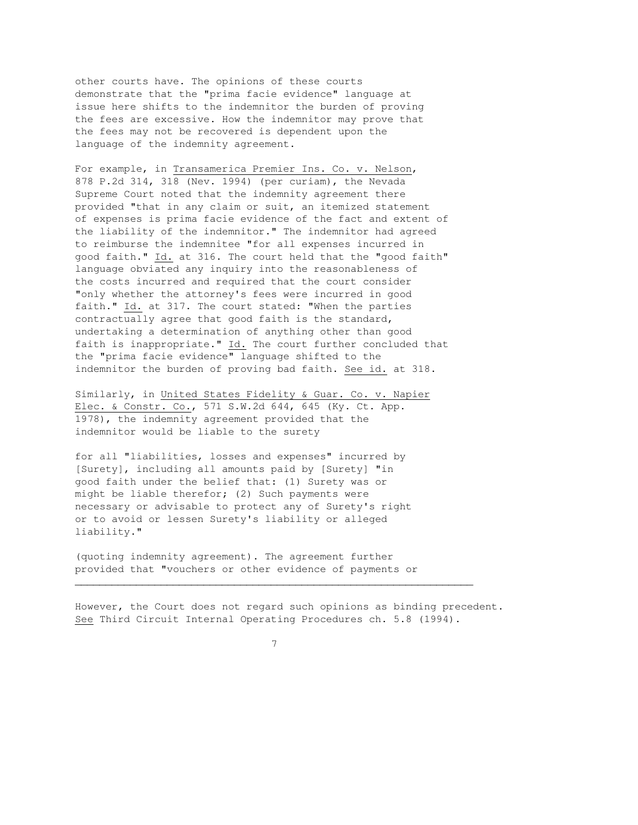other courts have. The opinions of these courts demonstrate that the "prima facie evidence" language at issue here shifts to the indemnitor the burden of proving the fees are excessive. How the indemnitor may prove that the fees may not be recovered is dependent upon the language of the indemnity agreement.

For example, in Transamerica Premier Ins. Co. v. Nelson, 878 P.2d 314, 318 (Nev. 1994) (per curiam), the Nevada Supreme Court noted that the indemnity agreement there provided "that in any claim or suit, an itemized statement of expenses is prima facie evidence of the fact and extent of the liability of the indemnitor." The indemnitor had agreed to reimburse the indemnitee "for all expenses incurred in good faith." Id. at 316. The court held that the "good faith" language obviated any inquiry into the reasonableness of the costs incurred and required that the court consider "only whether the attorney's fees were incurred in good faith." Id. at 317. The court stated: "When the parties contractually agree that good faith is the standard, undertaking a determination of anything other than good faith is inappropriate." Id. The court further concluded that the "prima facie evidence" language shifted to the indemnitor the burden of proving bad faith. See id. at 318.

Similarly, in United States Fidelity & Guar. Co. v. Napier Elec. & Constr. Co., 571 S.W.2d 644, 645 (Ky. Ct. App. 1978), the indemnity agreement provided that the indemnitor would be liable to the surety

for all "liabilities, losses and expenses" incurred by [Surety], including all amounts paid by [Surety] "in good faith under the belief that: (1) Surety was or might be liable therefor; (2) Such payments were necessary or advisable to protect any of Surety's right or to avoid or lessen Surety's liability or alleged liability."

(quoting indemnity agreement). The agreement further provided that "vouchers or other evidence of payments or

However, the Court does not regard such opinions as binding precedent. See Third Circuit Internal Operating Procedures ch. 5.8 (1994).

7

 $\overline{\phantom{a}}$  , and the contribution of the contribution of the contribution of the contribution of the contribution of the contribution of the contribution of the contribution of the contribution of the contribution of the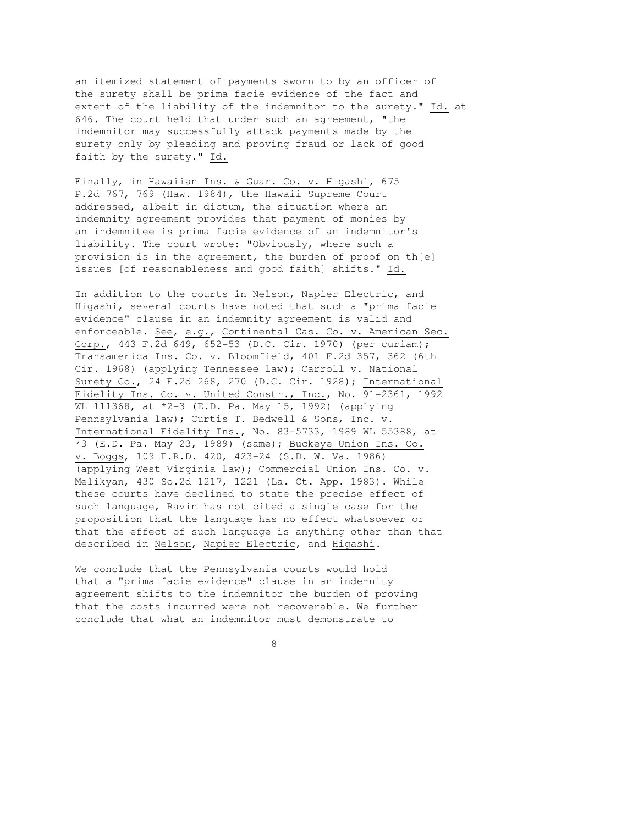an itemized statement of payments sworn to by an officer of the surety shall be prima facie evidence of the fact and extent of the liability of the indemnitor to the surety." Id. at 646. The court held that under such an agreement, "the indemnitor may successfully attack payments made by the surety only by pleading and proving fraud or lack of good faith by the surety." Id.

Finally, in Hawaiian Ins. & Guar. Co. v. Higashi, 675 P.2d 767, 769 (Haw. 1984), the Hawaii Supreme Court addressed, albeit in dictum, the situation where an indemnity agreement provides that payment of monies by an indemnitee is prima facie evidence of an indemnitor's liability. The court wrote: "Obviously, where such a provision is in the agreement, the burden of proof on th[e] issues [of reasonableness and good faith] shifts." Id.

In addition to the courts in Nelson, Napier Electric, and Higashi, several courts have noted that such a "prima facie evidence" clause in an indemnity agreement is valid and enforceable. See, e.g., Continental Cas. Co. v. American Sec. Corp., 443 F.2d 649, 652-53 (D.C. Cir. 1970) (per curiam); Transamerica Ins. Co. v. Bloomfield, 401 F.2d 357, 362 (6th Cir. 1968) (applying Tennessee law); Carroll v. National Surety Co., 24 F.2d 268, 270 (D.C. Cir. 1928); International Fidelity Ins. Co. v. United Constr., Inc., No. 91-2361, 1992 WL 111368, at \*2-3 (E.D. Pa. May 15, 1992) (applying Pennsylvania law); Curtis T. Bedwell & Sons, Inc. v. International Fidelity Ins., No. 83-5733, 1989 WL 55388, at \*3 (E.D. Pa. May 23, 1989) (same); Buckeye Union Ins. Co. v. Boggs, 109 F.R.D. 420, 423-24 (S.D. W. Va. 1986) (applying West Virginia law); Commercial Union Ins. Co. v. Melikyan, 430 So.2d 1217, 1221 (La. Ct. App. 1983). While these courts have declined to state the precise effect of such language, Ravin has not cited a single case for the proposition that the language has no effect whatsoever or that the effect of such language is anything other than that described in Nelson, Napier Electric, and Higashi.

We conclude that the Pennsylvania courts would hold that a "prima facie evidence" clause in an indemnity agreement shifts to the indemnitor the burden of proving that the costs incurred were not recoverable. We further conclude that what an indemnitor must demonstrate to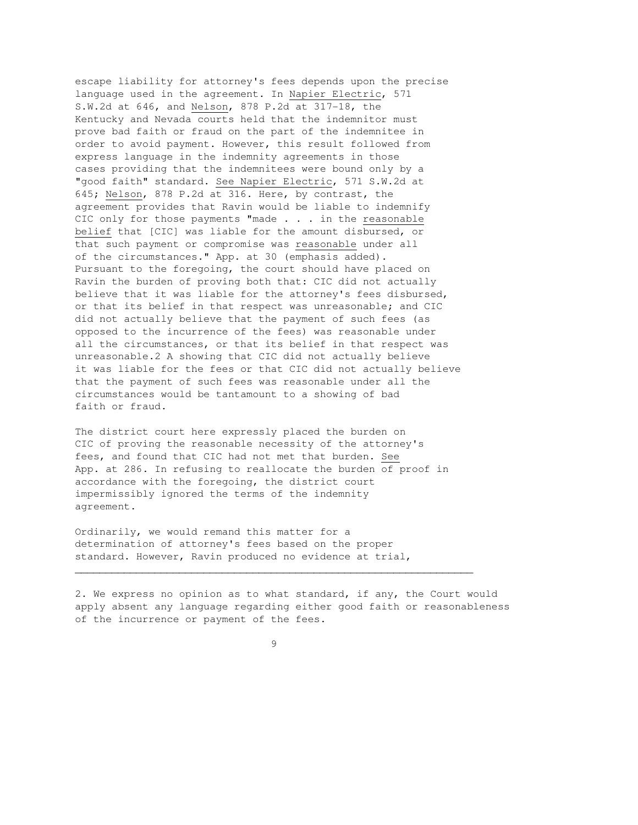escape liability for attorney's fees depends upon the precise language used in the agreement. In Napier Electric, 571 S.W.2d at 646, and Nelson, 878 P.2d at 317-18, the Kentucky and Nevada courts held that the indemnitor must prove bad faith or fraud on the part of the indemnitee in order to avoid payment. However, this result followed from express language in the indemnity agreements in those cases providing that the indemnitees were bound only by a "good faith" standard. See Napier Electric, 571 S.W.2d at 645; Nelson, 878 P.2d at 316. Here, by contrast, the agreement provides that Ravin would be liable to indemnify CIC only for those payments "made . . . in the reasonable belief that [CIC] was liable for the amount disbursed, or that such payment or compromise was reasonable under all of the circumstances." App. at 30 (emphasis added). Pursuant to the foregoing, the court should have placed on Ravin the burden of proving both that: CIC did not actually believe that it was liable for the attorney's fees disbursed, or that its belief in that respect was unreasonable; and CIC did not actually believe that the payment of such fees (as opposed to the incurrence of the fees) was reasonable under all the circumstances, or that its belief in that respect was unreasonable.2 A showing that CIC did not actually believe it was liable for the fees or that CIC did not actually believe that the payment of such fees was reasonable under all the circumstances would be tantamount to a showing of bad faith or fraud.

The district court here expressly placed the burden on CIC of proving the reasonable necessity of the attorney's fees, and found that CIC had not met that burden. See App. at 286. In refusing to reallocate the burden of proof in accordance with the foregoing, the district court impermissibly ignored the terms of the indemnity agreement.

Ordinarily, we would remand this matter for a determination of attorney's fees based on the proper standard. However, Ravin produced no evidence at trial,

2. We express no opinion as to what standard, if any, the Court would apply absent any language regarding either good faith or reasonableness of the incurrence or payment of the fees.

9

 $\overline{\phantom{a}}$  , and the contribution of the contribution of the contribution of the contribution of the contribution of the contribution of the contribution of the contribution of the contribution of the contribution of the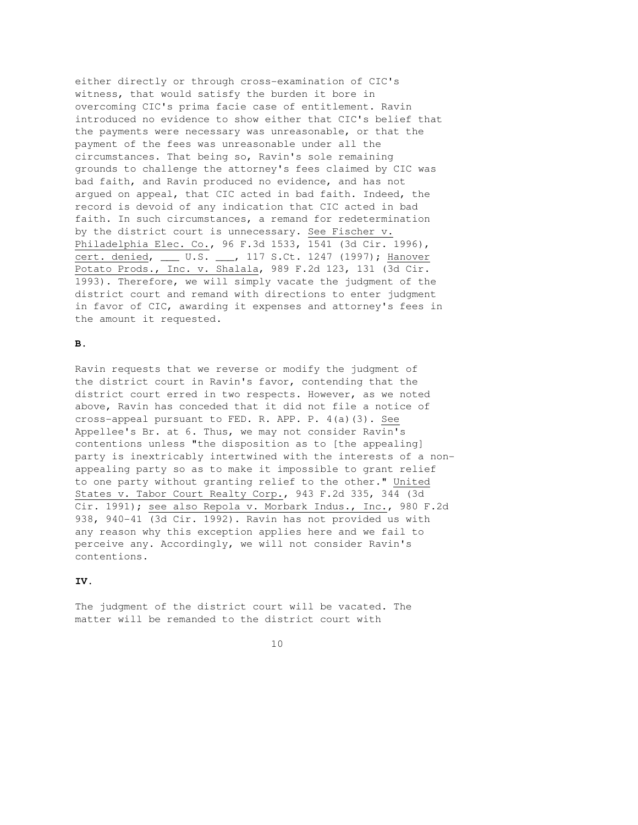either directly or through cross-examination of CIC's witness, that would satisfy the burden it bore in overcoming CIC's prima facie case of entitlement. Ravin introduced no evidence to show either that CIC's belief that the payments were necessary was unreasonable, or that the payment of the fees was unreasonable under all the circumstances. That being so, Ravin's sole remaining grounds to challenge the attorney's fees claimed by CIC was bad faith, and Ravin produced no evidence, and has not argued on appeal, that CIC acted in bad faith. Indeed, the record is devoid of any indication that CIC acted in bad faith. In such circumstances, a remand for redetermination by the district court is unnecessary. See Fischer v. Philadelphia Elec. Co., 96 F.3d 1533, 1541 (3d Cir. 1996), cert. denied, \_\_\_ U.S. \_\_\_, 117 S.Ct. 1247 (1997); Hanover Potato Prods., Inc. v. Shalala, 989 F.2d 123, 131 (3d Cir. 1993). Therefore, we will simply vacate the judgment of the district court and remand with directions to enter judgment in favor of CIC, awarding it expenses and attorney's fees in the amount it requested.

# **B.**

Ravin requests that we reverse or modify the judgment of the district court in Ravin's favor, contending that the district court erred in two respects. However, as we noted above, Ravin has conceded that it did not file a notice of cross-appeal pursuant to FED. R. APP. P. 4(a)(3). See Appellee's Br. at 6. Thus, we may not consider Ravin's contentions unless "the disposition as to [the appealing] party is inextricably intertwined with the interests of a nonappealing party so as to make it impossible to grant relief to one party without granting relief to the other." United States v. Tabor Court Realty Corp., 943 F.2d 335, 344 (3d Cir. 1991); see also Repola v. Morbark Indus., Inc., 980 F.2d 938, 940-41 (3d Cir. 1992). Ravin has not provided us with any reason why this exception applies here and we fail to perceive any. Accordingly, we will not consider Ravin's contentions.

#### **IV.**

The judgment of the district court will be vacated. The matter will be remanded to the district court with